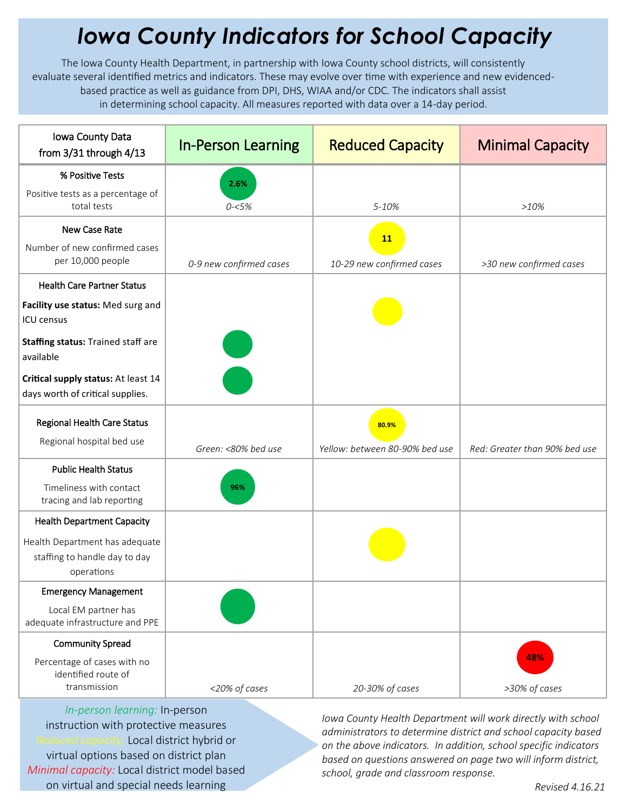## *Iowa County Indicators for School Capacity*

The Iowa County Health Department, in partnership with Iowa County school districts, will consistently evaluate several identified metrics and indicators. These may evolve over time with experience and new evidencedbased practice as well as guidance from DPI, DHS, WIAA and/or CDC. The indicators shall assist in determining school capacity. All measures reported with data over a 14-day period.

| Iowa County Data<br>from $3/31$ through $4/13$                                      | <b>In-Person Learning</b> | <b>Reduced Capacity</b>        | <b>Minimal Capacity</b>       |
|-------------------------------------------------------------------------------------|---------------------------|--------------------------------|-------------------------------|
| % Positive Tests                                                                    | 2.6%                      |                                |                               |
| Positive tests as a percentage of<br>total tests                                    | $0 - 5%$                  | 5-10%                          | $>10\%$                       |
| New Case Rate                                                                       |                           | <b>11</b>                      |                               |
| Number of new confirmed cases<br>per 10,000 people                                  | 0-9 new confirmed cases   | 10-29 new confirmed cases      | >30 new confirmed cases       |
| <b>Health Care Partner Status</b>                                                   |                           |                                |                               |
| Facility use status: Med surg and<br><b>ICU</b> census                              |                           |                                |                               |
| Staffing status: Trained staff are<br>available                                     |                           |                                |                               |
| Critical supply status: At least 14<br>days worth of critical supplies.             |                           |                                |                               |
| Regional Health Care Status<br>Regional hospital bed use                            |                           | 80.9%                          |                               |
|                                                                                     | Green: <80% bed use       | Yellow: between 80-90% bed use | Red: Greater than 90% bed use |
| <b>Public Health Status</b><br>Timeliness with contact<br>tracing and lab reporting | 96%                       |                                |                               |
| <b>Health Department Capacity</b>                                                   |                           |                                |                               |
| Health Department has adequate<br>staffing to handle day to day<br>operations       |                           |                                |                               |
| <b>Emergency Management</b>                                                         |                           |                                |                               |
| Local EM partner has<br>adequate infrastructure and PPE                             |                           |                                |                               |
| <b>Community Spread</b>                                                             |                           |                                |                               |
| Percentage of cases with no<br>identified route of<br>transmission                  | <20% of cases             | 20-30% of cases                | 48%<br>>30% of cases          |

*In-person learning:* In-person instruction with protective measures *Reduced capacity:* Local district hybrid or virtual options based on district plan *Minimal capacity:* Local district model based on virtual and special needs learning

*Iowa County Health Department will work directly with school administrators to determine district and school capacity based on the above indicators. In addition, school specific indicators based on questions answered on page two will inform district, school, grade and classroom response.*